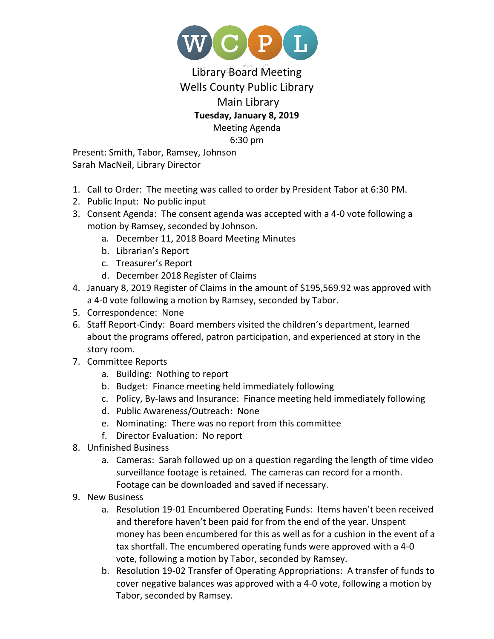

## Library Board Meeting Wells County Public Library Main Library **Tuesday, January 8, 2019** Meeting Agenda 6:30 pm

Present: Smith, Tabor, Ramsey, Johnson Sarah MacNeil, Library Director

- 1. Call to Order: The meeting was called to order by President Tabor at 6:30 PM.
- 2. Public Input: No public input
- 3. Consent Agenda: The consent agenda was accepted with a 4-0 vote following a motion by Ramsey, seconded by Johnson.
	- a. December 11, 2018 Board Meeting Minutes
	- b. Librarian's Report
	- c. Treasurer's Report
	- d. December 2018 Register of Claims
- 4. January 8, 2019 Register of Claims in the amount of \$195,569.92 was approved with a 4-0 vote following a motion by Ramsey, seconded by Tabor.
- 5. Correspondence: None
- 6. Staff Report-Cindy: Board members visited the children's department, learned about the programs offered, patron participation, and experienced at story in the story room.
- 7. Committee Reports
	- a. Building: Nothing to report
	- b. Budget: Finance meeting held immediately following
	- c. Policy, By-laws and Insurance: Finance meeting held immediately following
	- d. Public Awareness/Outreach: None
	- e. Nominating: There was no report from this committee
	- f. Director Evaluation: No report
- 8. Unfinished Business
	- a. Cameras: Sarah followed up on a question regarding the length of time video surveillance footage is retained. The cameras can record for a month. Footage can be downloaded and saved if necessary.
- 9. New Business
	- a. Resolution 19-01 Encumbered Operating Funds: Items haven't been received and therefore haven't been paid for from the end of the year. Unspent money has been encumbered for this as well as for a cushion in the event of a tax shortfall. The encumbered operating funds were approved with a 4-0 vote, following a motion by Tabor, seconded by Ramsey.
	- b. Resolution 19-02 Transfer of Operating Appropriations: A transfer of funds to cover negative balances was approved with a 4-0 vote, following a motion by Tabor, seconded by Ramsey.